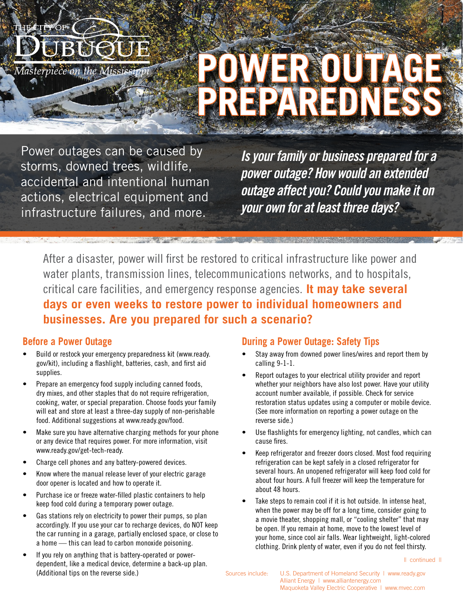

Power outages can be caused by storms, downed trees, wildlife, accidental and intentional human actions, electrical equipment and infrastructure failures, and more.

*Is your family or business prepared for a power outage? How would an extended outage affect you? Could you make it on your own for at least three days?*

After a disaster, power will first be restored to critical infrastructure like power and water plants, transmission lines, telecommunications networks, and to hospitals, critical care facilities, and emergency response agencies. **It may take several days or even weeks to restore power to individual homeowners and businesses. Are you prepared for such a scenario?**

### **Before a Power Outage**

OF

Masterpiece on the

- Build or restock your emergency preparedness kit (www.ready. gov/kit), including a flashlight, batteries, cash, and first aid supplies.
- Prepare an emergency food supply including canned foods, dry mixes, and other staples that do not require refrigeration, cooking, water, or special preparation. Choose foods your family will eat and store at least a three-day supply of non-perishable food. Additional suggestions at www.ready.gov/food.
- Make sure you have alternative charging methods for your phone or any device that requires power. For more information, visit www.ready.gov/get-tech-ready.
- Charge cell phones and any battery-powered devices.
- Know where the manual release lever of your electric garage door opener is located and how to operate it.
- Purchase ice or freeze water-filled plastic containers to help keep food cold during a temporary power outage.
- Gas stations rely on electricity to power their pumps, so plan accordingly. If you use your car to recharge devices, do NOT keep the car running in a garage, partially enclosed space, or close to a home — this can lead to carbon monoxide poisoning.
- If you rely on anything that is battery-operated or powerdependent, like a medical device, determine a back-up plan. (Additional tips on the reverse side.)

### **During a Power Outage: Safety Tips**

- Stay away from downed power lines/wires and report them by calling 9-1-1.
- Report outages to your electrical utility provider and report whether your neighbors have also lost power. Have your utility account number available, if possible. Check for service restoration status updates using a computer or mobile device. (See more information on reporting a power outage on the reverse side.)
- Use flashlights for emergency lighting, not candles, which can cause fires.
- Keep refrigerator and freezer doors closed. Most food requiring refrigeration can be kept safely in a closed refrigerator for several hours. An unopened refrigerator will keep food cold for about four hours. A full freezer will keep the temperature for about 48 hours.
- Take steps to remain cool if it is hot outside. In intense heat, when the power may be off for a long time, consider going to a movie theater, shopping mall, or "cooling shelter" that may be open. If you remain at home, move to the lowest level of your home, since cool air falls. Wear lightweight, light-colored clothing. Drink plenty of water, even if you do not feel thirsty.

|| continued ||